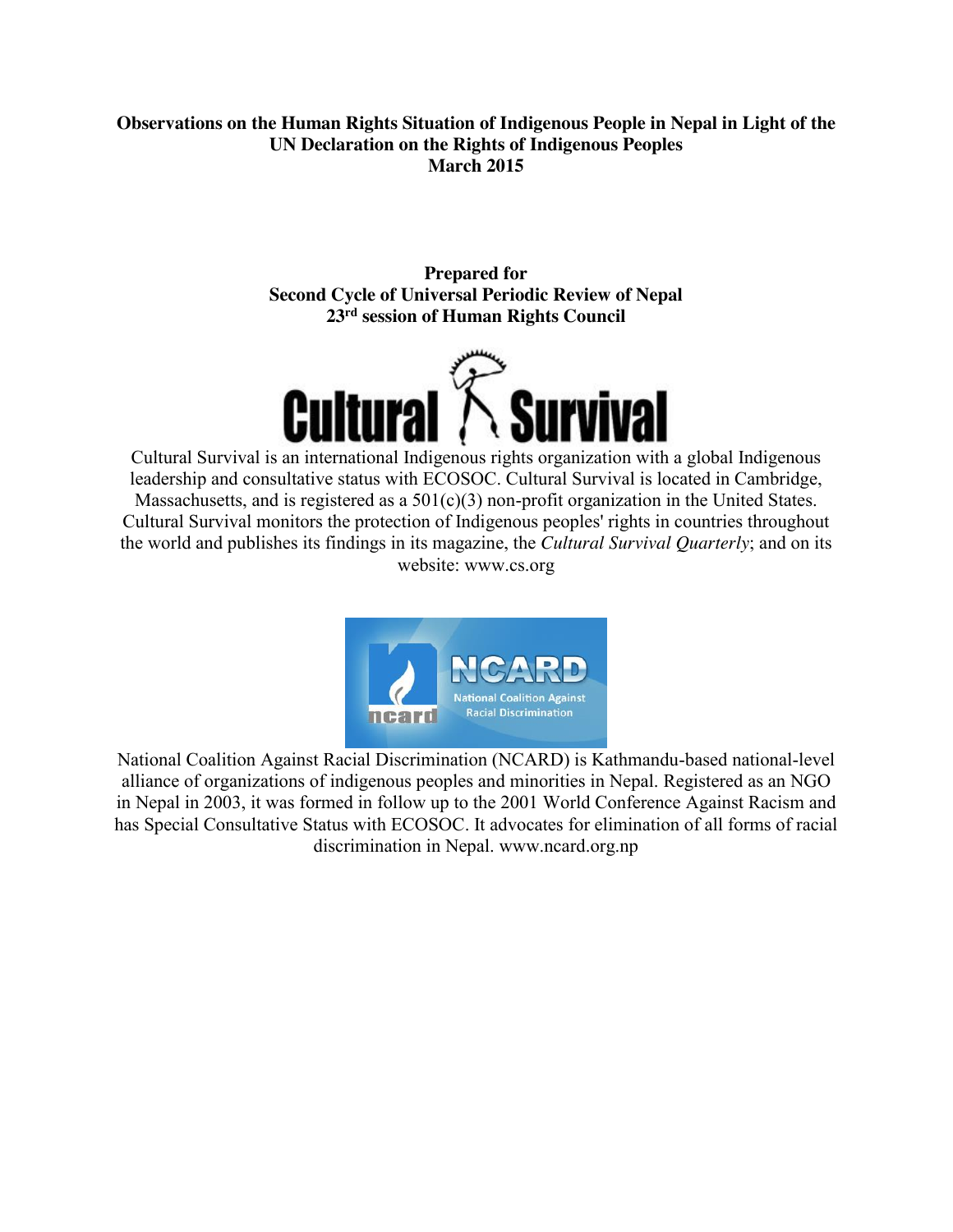## **Observations on the Human Rights Situation of Indigenous People in Nepal in Light of the UN Declaration on the Rights of Indigenous Peoples March 2015**

**Prepared for Second Cycle of Universal Periodic Review of Nepal 23rd session of Human Rights Council**



Cultural Survival is an international Indigenous rights organization with a global Indigenous leadership and consultative status with ECOSOC. Cultural Survival is located in Cambridge, Massachusetts, and is registered as a 501(c)(3) non-profit organization in the United States. Cultural Survival monitors the protection of Indigenous peoples' rights in countries throughout the world and publishes its findings in its magazine, the *Cultural Survival Quarterly*; and on its website: www.cs.org



National Coalition Against Racial Discrimination (NCARD) is Kathmandu-based national-level alliance of organizations of indigenous peoples and minorities in Nepal. Registered as an NGO in Nepal in 2003, it was formed in follow up to the 2001 World Conference Against Racism and has Special Consultative Status with ECOSOC. It advocates for elimination of all forms of racial discrimination in Nepal. www.ncard.org.np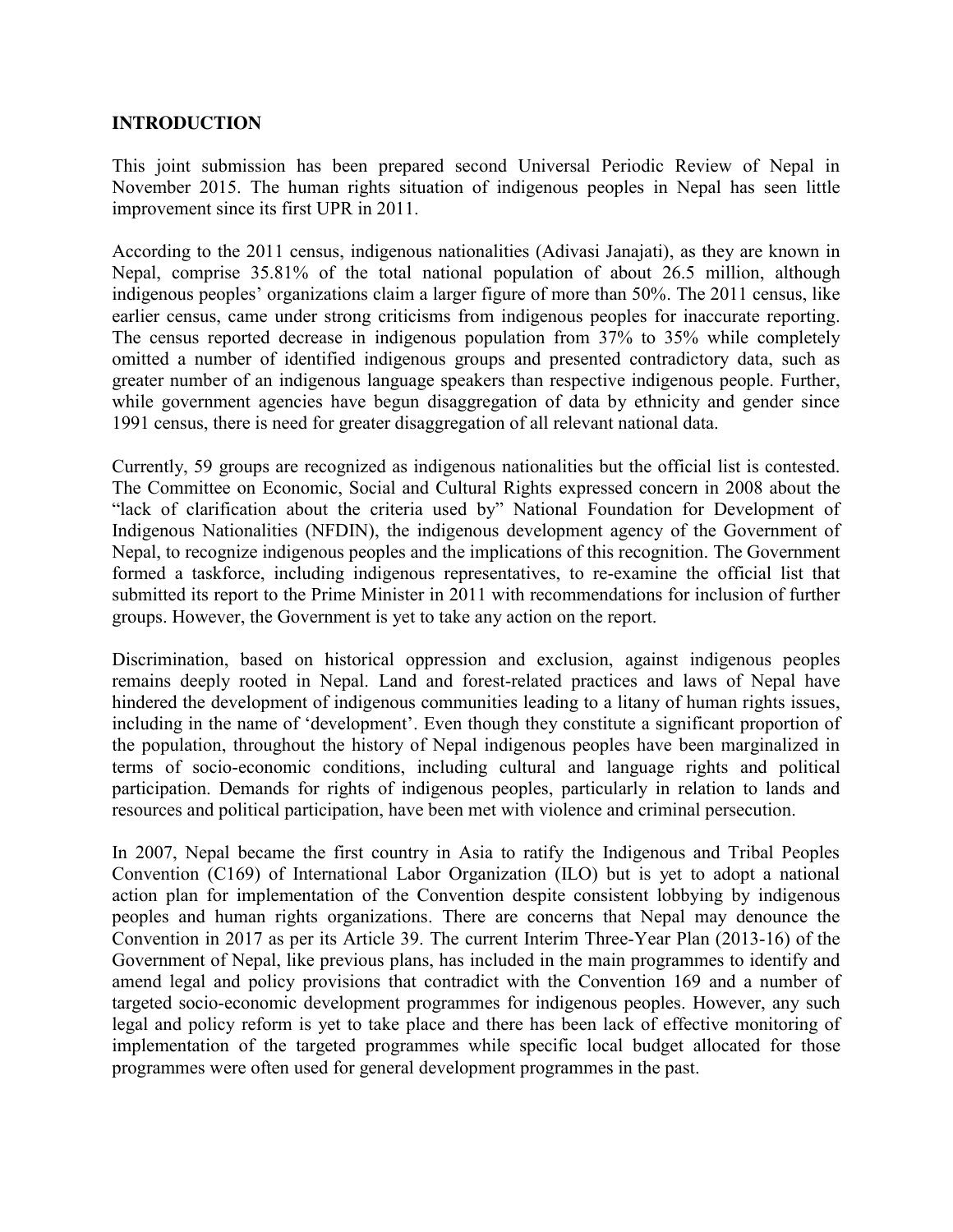#### **INTRODUCTION**

This joint submission has been prepared second Universal Periodic Review of Nepal in November 2015. The human rights situation of indigenous peoples in Nepal has seen little improvement since its first UPR in 2011.

According to the 2011 census, indigenous nationalities (Adivasi Janajati), as they are known in Nepal, comprise 35.81% of the total national population of about 26.5 million, although indigenous peoples' organizations claim a larger figure of more than 50%. The 2011 census, like earlier census, came under strong criticisms from indigenous peoples for inaccurate reporting. The census reported decrease in indigenous population from 37% to 35% while completely omitted a number of identified indigenous groups and presented contradictory data, such as greater number of an indigenous language speakers than respective indigenous people. Further, while government agencies have begun disaggregation of data by ethnicity and gender since 1991 census, there is need for greater disaggregation of all relevant national data.

Currently, 59 groups are recognized as indigenous nationalities but the official list is contested. The Committee on Economic, Social and Cultural Rights expressed concern in 2008 about the "lack of clarification about the criteria used by" National Foundation for Development of Indigenous Nationalities (NFDIN), the indigenous development agency of the Government of Nepal, to recognize indigenous peoples and the implications of this recognition. The Government formed a taskforce, including indigenous representatives, to re-examine the official list that submitted its report to the Prime Minister in 2011 with recommendations for inclusion of further groups. However, the Government is yet to take any action on the report.

Discrimination, based on historical oppression and exclusion, against indigenous peoples remains deeply rooted in Nepal. Land and forest-related practices and laws of Nepal have hindered the development of indigenous communities leading to a litany of human rights issues, including in the name of 'development'. Even though they constitute a significant proportion of the population, throughout the history of Nepal indigenous peoples have been marginalized in terms of socio-economic conditions, including cultural and language rights and political participation. Demands for rights of indigenous peoples, particularly in relation to lands and resources and political participation, have been met with violence and criminal persecution.

In 2007, Nepal became the first country in Asia to ratify the Indigenous and Tribal Peoples Convention (C169) of International Labor Organization (ILO) but is yet to adopt a national action plan for implementation of the Convention despite consistent lobbying by indigenous peoples and human rights organizations. There are concerns that Nepal may denounce the Convention in 2017 as per its Article 39. The current Interim Three-Year Plan (2013-16) of the Government of Nepal, like previous plans, has included in the main programmes to identify and amend legal and policy provisions that contradict with the Convention 169 and a number of targeted socio-economic development programmes for indigenous peoples. However, any such legal and policy reform is yet to take place and there has been lack of effective monitoring of implementation of the targeted programmes while specific local budget allocated for those programmes were often used for general development programmes in the past.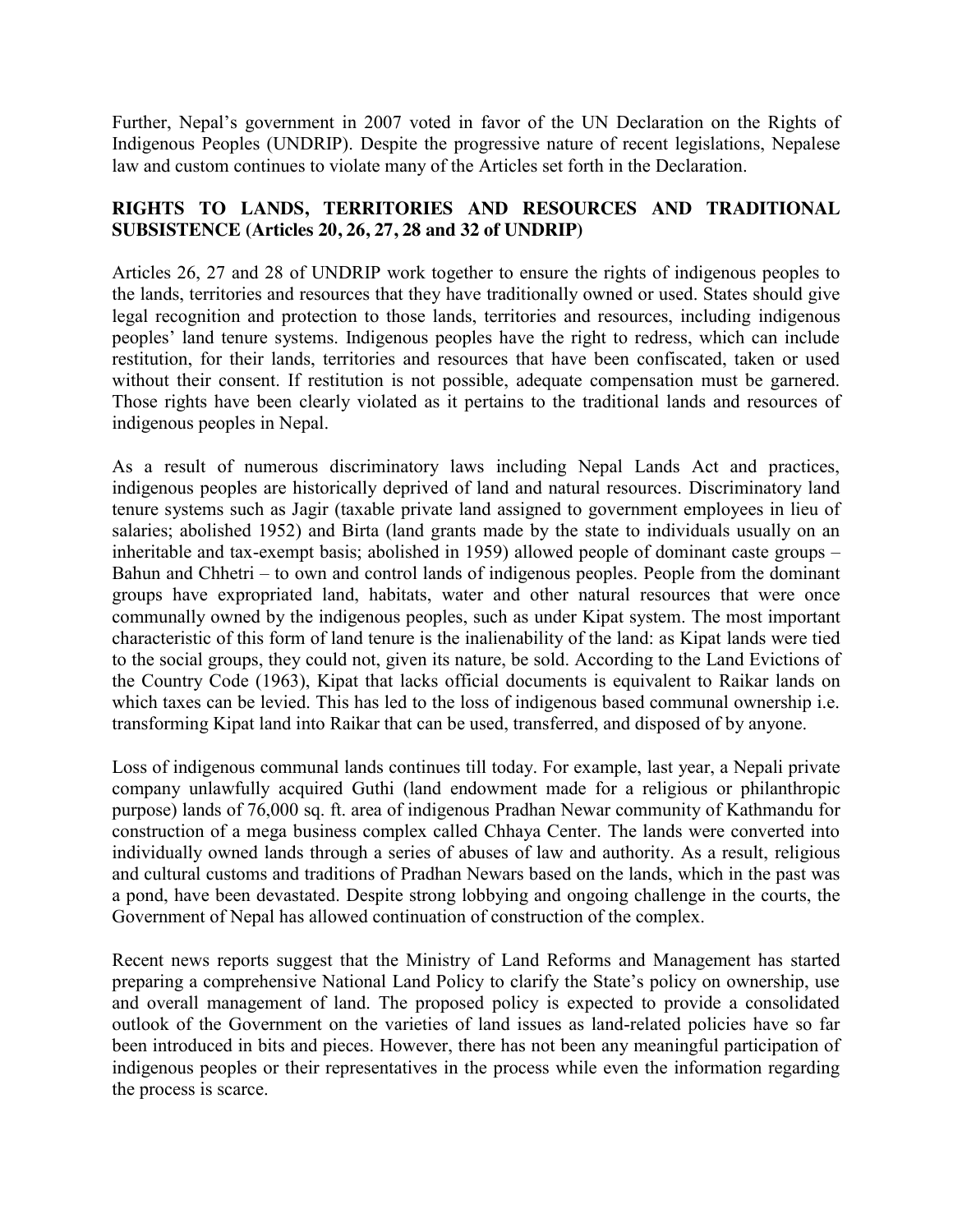Further, Nepal's government in 2007 voted in favor of the UN Declaration on the Rights of Indigenous Peoples (UNDRIP). Despite the progressive nature of recent legislations, Nepalese law and custom continues to violate many of the Articles set forth in the Declaration.

# **RIGHTS TO LANDS, TERRITORIES AND RESOURCES AND TRADITIONAL SUBSISTENCE (Articles 20, 26, 27, 28 and 32 of UNDRIP)**

Articles 26, 27 and 28 of UNDRIP work together to ensure the rights of indigenous peoples to the lands, territories and resources that they have traditionally owned or used. States should give legal recognition and protection to those lands, territories and resources, including indigenous peoples' land tenure systems. Indigenous peoples have the right to redress, which can include restitution, for their lands, territories and resources that have been confiscated, taken or used without their consent. If restitution is not possible, adequate compensation must be garnered. Those rights have been clearly violated as it pertains to the traditional lands and resources of indigenous peoples in Nepal.

As a result of numerous discriminatory laws including Nepal Lands Act and practices, indigenous peoples are historically deprived of land and natural resources. Discriminatory land tenure systems such as Jagir (taxable private land assigned to government employees in lieu of salaries; abolished 1952) and Birta (land grants made by the state to individuals usually on an inheritable and tax-exempt basis; abolished in 1959) allowed people of dominant caste groups – Bahun and Chhetri – to own and control lands of indigenous peoples. People from the dominant groups have expropriated land, habitats, water and other natural resources that were once communally owned by the indigenous peoples, such as under Kipat system. The most important characteristic of this form of land tenure is the inalienability of the land: as Kipat lands were tied to the social groups, they could not, given its nature, be sold. According to the Land Evictions of the Country Code (1963), Kipat that lacks official documents is equivalent to Raikar lands on which taxes can be levied. This has led to the loss of indigenous based communal ownership i.e. transforming Kipat land into Raikar that can be used, transferred, and disposed of by anyone.

Loss of indigenous communal lands continues till today. For example, last year, a Nepali private company unlawfully acquired Guthi (land endowment made for a religious or philanthropic purpose) lands of 76,000 sq. ft. area of indigenous Pradhan Newar community of Kathmandu for construction of a mega business complex called Chhaya Center. The lands were converted into individually owned lands through a series of abuses of law and authority. As a result, religious and cultural customs and traditions of Pradhan Newars based on the lands, which in the past was a pond, have been devastated. Despite strong lobbying and ongoing challenge in the courts, the Government of Nepal has allowed continuation of construction of the complex.

Recent news reports suggest that the Ministry of Land Reforms and Management has started preparing a comprehensive National Land Policy to clarify the State's policy on ownership, use and overall management of land. The proposed policy is expected to provide a consolidated outlook of the Government on the varieties of land issues as land-related policies have so far been introduced in bits and pieces. However, there has not been any meaningful participation of indigenous peoples or their representatives in the process while even the information regarding the process is scarce.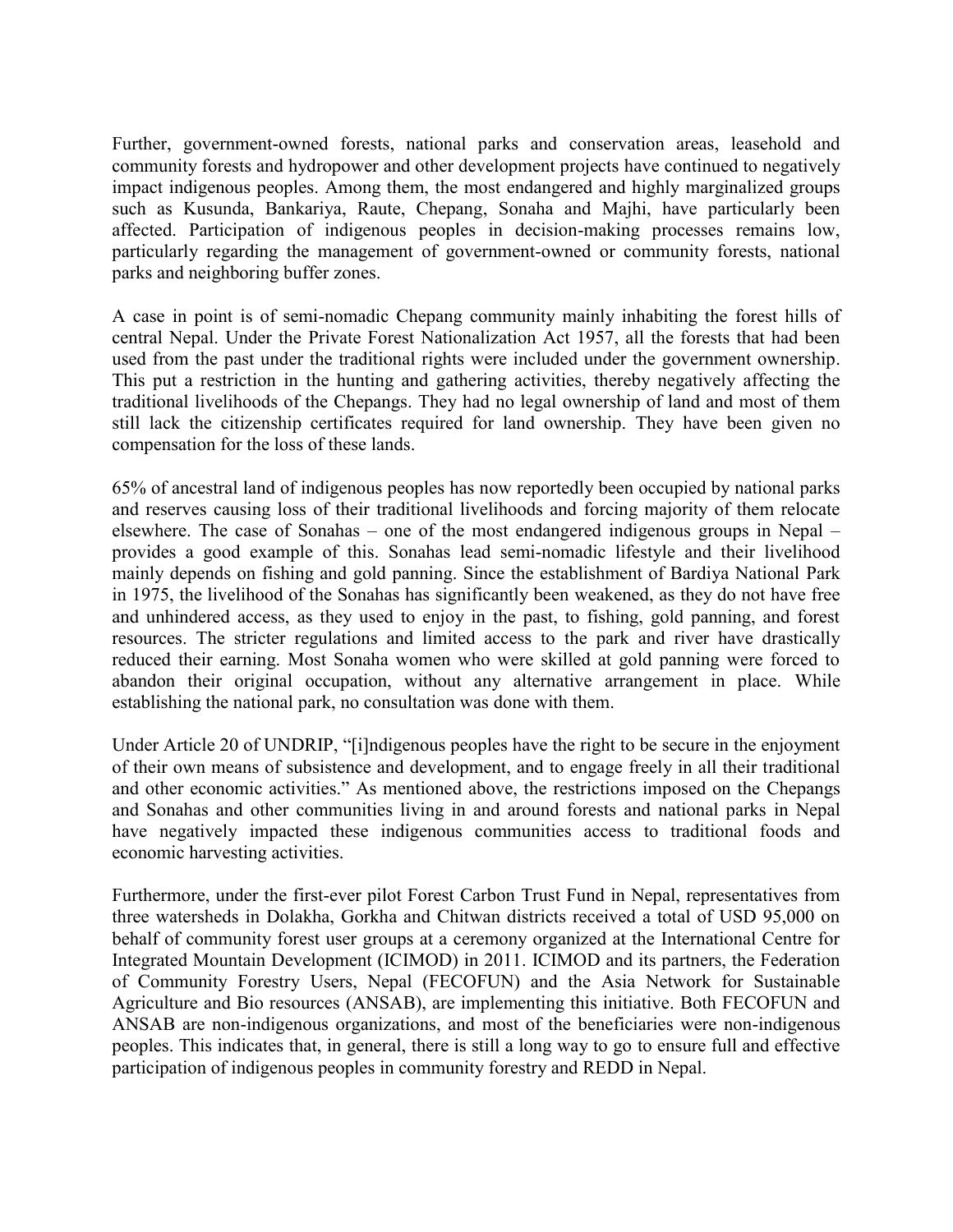Further, government-owned forests, national parks and conservation areas, leasehold and community forests and hydropower and other development projects have continued to negatively impact indigenous peoples. Among them, the most endangered and highly marginalized groups such as Kusunda, Bankariya, Raute, Chepang, Sonaha and Majhi, have particularly been affected. Participation of indigenous peoples in decision-making processes remains low, particularly regarding the management of government-owned or community forests, national parks and neighboring buffer zones.

A case in point is of semi-nomadic Chepang community mainly inhabiting the forest hills of central Nepal. Under the Private Forest Nationalization Act 1957, all the forests that had been used from the past under the traditional rights were included under the government ownership. This put a restriction in the hunting and gathering activities, thereby negatively affecting the traditional livelihoods of the Chepangs. They had no legal ownership of land and most of them still lack the citizenship certificates required for land ownership. They have been given no compensation for the loss of these lands.

65% of ancestral land of indigenous peoples has now reportedly been occupied by national parks and reserves causing loss of their traditional livelihoods and forcing majority of them relocate elsewhere. The case of Sonahas – one of the most endangered indigenous groups in Nepal – provides a good example of this. Sonahas lead semi-nomadic lifestyle and their livelihood mainly depends on fishing and gold panning. Since the establishment of Bardiya National Park in 1975, the livelihood of the Sonahas has significantly been weakened, as they do not have free and unhindered access, as they used to enjoy in the past, to fishing, gold panning, and forest resources. The stricter regulations and limited access to the park and river have drastically reduced their earning. Most Sonaha women who were skilled at gold panning were forced to abandon their original occupation, without any alternative arrangement in place. While establishing the national park, no consultation was done with them.

Under Article 20 of UNDRIP, "[i]ndigenous peoples have the right to be secure in the enjoyment of their own means of subsistence and development, and to engage freely in all their traditional and other economic activities." As mentioned above, the restrictions imposed on the Chepangs and Sonahas and other communities living in and around forests and national parks in Nepal have negatively impacted these indigenous communities access to traditional foods and economic harvesting activities.

Furthermore, under the first-ever pilot Forest Carbon Trust Fund in Nepal, representatives from three watersheds in Dolakha, Gorkha and Chitwan districts received a total of USD 95,000 on behalf of community forest user groups at a ceremony organized at the International Centre for Integrated Mountain Development (ICIMOD) in 2011. ICIMOD and its partners, the Federation of Community Forestry Users, Nepal (FECOFUN) and the Asia Network for Sustainable Agriculture and Bio resources (ANSAB), are implementing this initiative. Both FECOFUN and ANSAB are non-indigenous organizations, and most of the beneficiaries were non-indigenous peoples. This indicates that, in general, there is still a long way to go to ensure full and effective participation of indigenous peoples in community forestry and REDD in Nepal.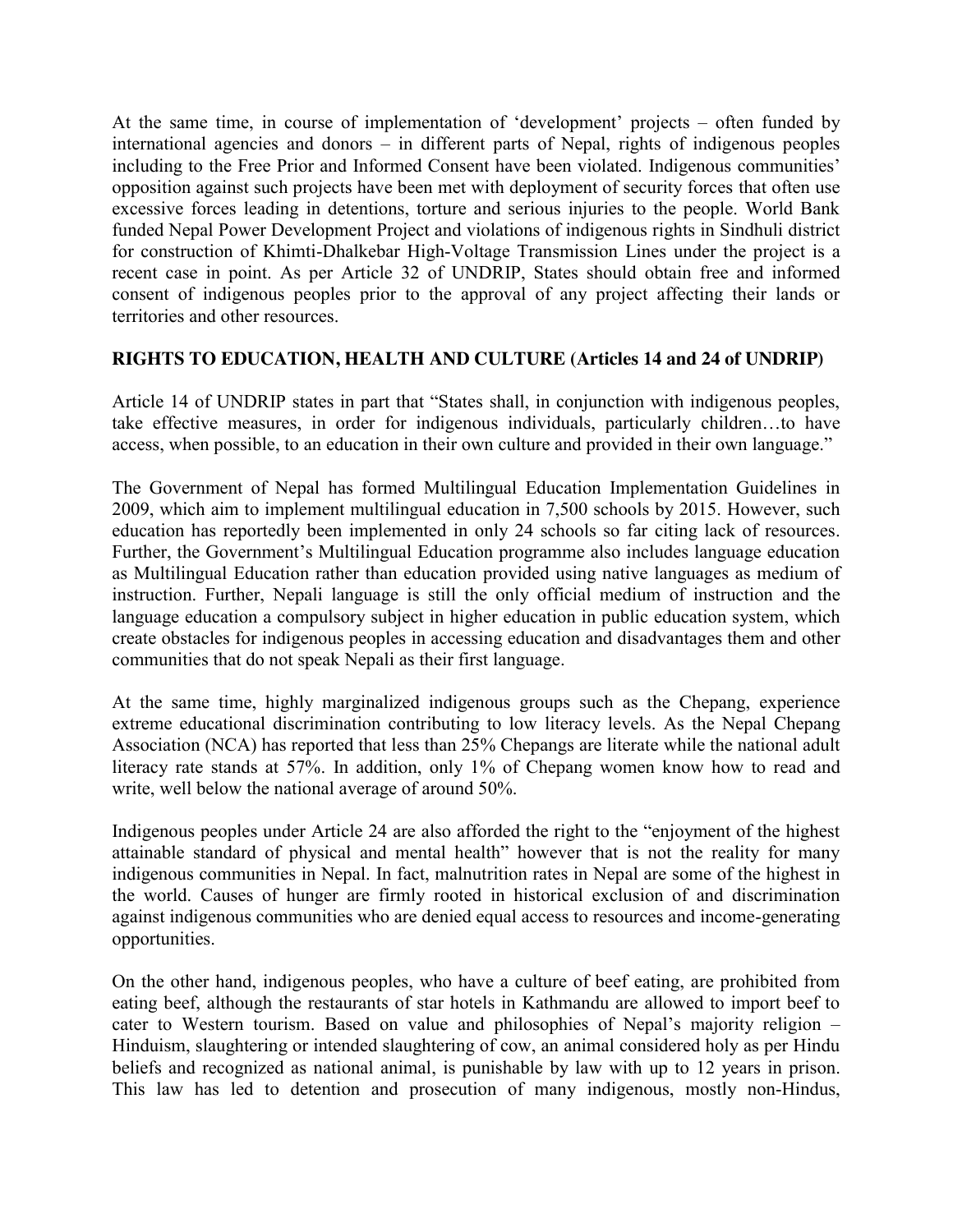At the same time, in course of implementation of 'development' projects – often funded by international agencies and donors – in different parts of Nepal, rights of indigenous peoples including to the Free Prior and Informed Consent have been violated. Indigenous communities' opposition against such projects have been met with deployment of security forces that often use excessive forces leading in detentions, torture and serious injuries to the people. World Bank funded Nepal Power Development Project and violations of indigenous rights in Sindhuli district for construction of Khimti-Dhalkebar High-Voltage Transmission Lines under the project is a recent case in point. As per Article 32 of UNDRIP, States should obtain free and informed consent of indigenous peoples prior to the approval of any project affecting their lands or territories and other resources.

## **RIGHTS TO EDUCATION, HEALTH AND CULTURE (Articles 14 and 24 of UNDRIP)**

Article 14 of UNDRIP states in part that "States shall, in conjunction with indigenous peoples, take effective measures, in order for indigenous individuals, particularly children…to have access, when possible, to an education in their own culture and provided in their own language."

The Government of Nepal has formed Multilingual Education Implementation Guidelines in 2009, which aim to implement multilingual education in 7,500 schools by 2015. However, such education has reportedly been implemented in only 24 schools so far citing lack of resources. Further, the Government's Multilingual Education programme also includes language education as Multilingual Education rather than education provided using native languages as medium of instruction. Further, Nepali language is still the only official medium of instruction and the language education a compulsory subject in higher education in public education system, which create obstacles for indigenous peoples in accessing education and disadvantages them and other communities that do not speak Nepali as their first language.

At the same time, highly marginalized indigenous groups such as the Chepang, experience extreme educational discrimination contributing to low literacy levels. As the Nepal Chepang Association (NCA) has reported that less than 25% Chepangs are literate while the national adult literacy rate stands at 57%. In addition, only 1% of Chepang women know how to read and write, well below the national average of around 50%.

Indigenous peoples under Article 24 are also afforded the right to the "enjoyment of the highest attainable standard of physical and mental health" however that is not the reality for many indigenous communities in Nepal. In fact, malnutrition rates in Nepal are some of the highest in the world. Causes of hunger are firmly rooted in historical exclusion of and discrimination against indigenous communities who are denied equal access to resources and income-generating opportunities.

On the other hand, indigenous peoples, who have a culture of beef eating, are prohibited from eating beef, although the restaurants of star hotels in Kathmandu are allowed to import beef to cater to Western tourism. Based on value and philosophies of Nepal's majority religion – Hinduism, slaughtering or intended slaughtering of cow, an animal considered holy as per Hindu beliefs and recognized as national animal, is punishable by law with up to 12 years in prison. This law has led to detention and prosecution of many indigenous, mostly non-Hindus,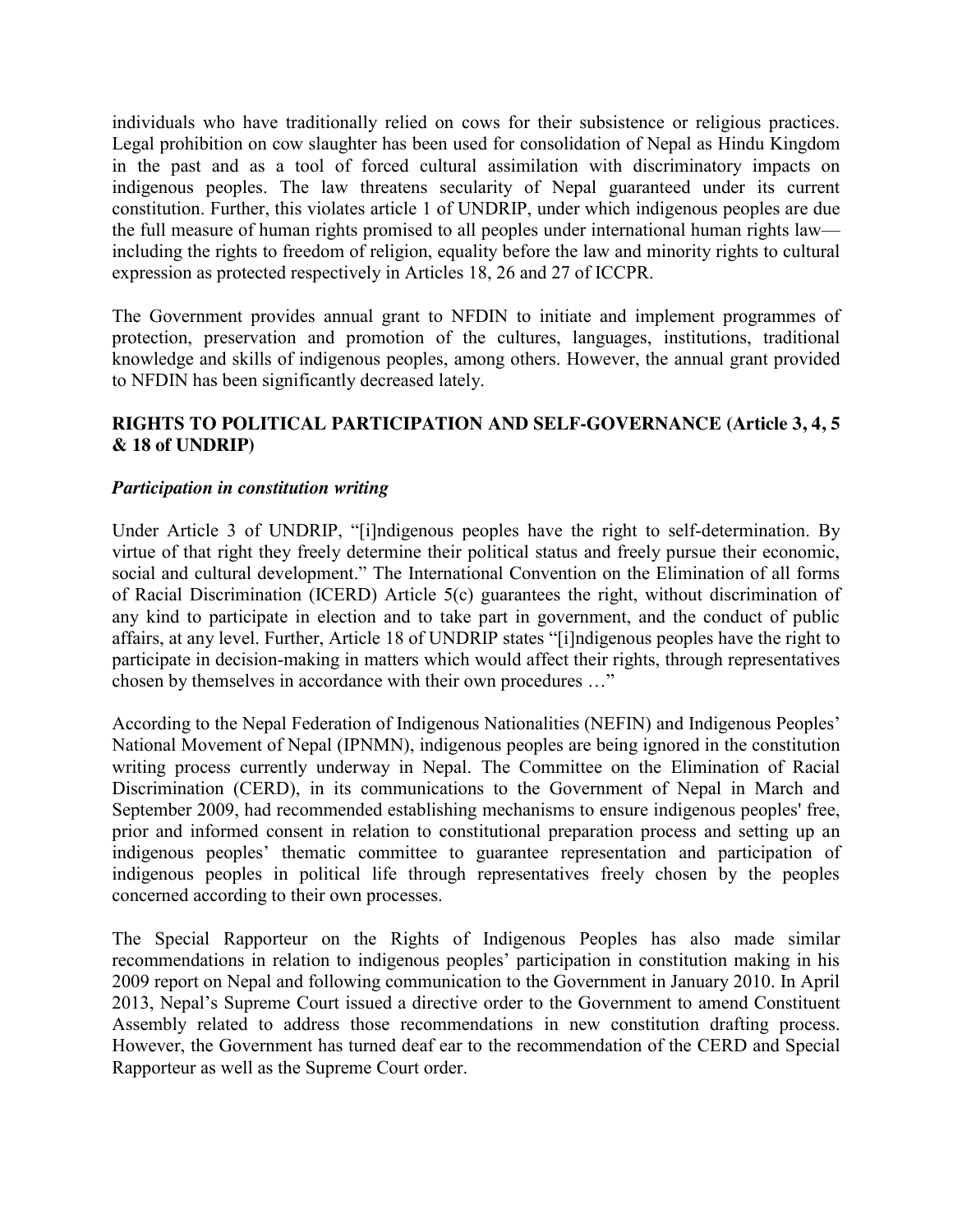individuals who have traditionally relied on cows for their subsistence or religious practices. Legal prohibition on cow slaughter has been used for consolidation of Nepal as Hindu Kingdom in the past and as a tool of forced cultural assimilation with discriminatory impacts on indigenous peoples. The law threatens secularity of Nepal guaranteed under its current constitution. Further, this violates article 1 of UNDRIP, under which indigenous peoples are due the full measure of human rights promised to all peoples under international human rights law including the rights to freedom of religion, equality before the law and minority rights to cultural expression as protected respectively in Articles 18, 26 and 27 of ICCPR.

The Government provides annual grant to NFDIN to initiate and implement programmes of protection, preservation and promotion of the cultures, languages, institutions, traditional knowledge and skills of indigenous peoples, among others. However, the annual grant provided to NFDIN has been significantly decreased lately.

## **RIGHTS TO POLITICAL PARTICIPATION AND SELF-GOVERNANCE (Article 3, 4, 5 & 18 of UNDRIP)**

### *Participation in constitution writing*

Under Article 3 of UNDRIP, "[i]ndigenous peoples have the right to self-determination. By virtue of that right they freely determine their political status and freely pursue their economic, social and cultural development." The International Convention on the Elimination of all forms of Racial Discrimination (ICERD) Article 5(c) guarantees the right, without discrimination of any kind to participate in election and to take part in government, and the conduct of public affairs, at any level. Further, Article 18 of UNDRIP states "[i]ndigenous peoples have the right to participate in decision-making in matters which would affect their rights, through representatives chosen by themselves in accordance with their own procedures …"

According to the Nepal Federation of Indigenous Nationalities (NEFIN) and Indigenous Peoples' National Movement of Nepal (IPNMN), indigenous peoples are being ignored in the constitution writing process currently underway in Nepal. The Committee on the Elimination of Racial Discrimination (CERD), in its communications to the Government of Nepal in March and September 2009, had recommended establishing mechanisms to ensure indigenous peoples' free, prior and informed consent in relation to constitutional preparation process and setting up an indigenous peoples' thematic committee to guarantee representation and participation of indigenous peoples in political life through representatives freely chosen by the peoples concerned according to their own processes.

The Special Rapporteur on the Rights of Indigenous Peoples has also made similar recommendations in relation to indigenous peoples' participation in constitution making in his 2009 report on Nepal and following communication to the Government in January 2010. In April 2013, Nepal's Supreme Court issued a directive order to the Government to amend Constituent Assembly related to address those recommendations in new constitution drafting process. However, the Government has turned deaf ear to the recommendation of the CERD and Special Rapporteur as well as the Supreme Court order.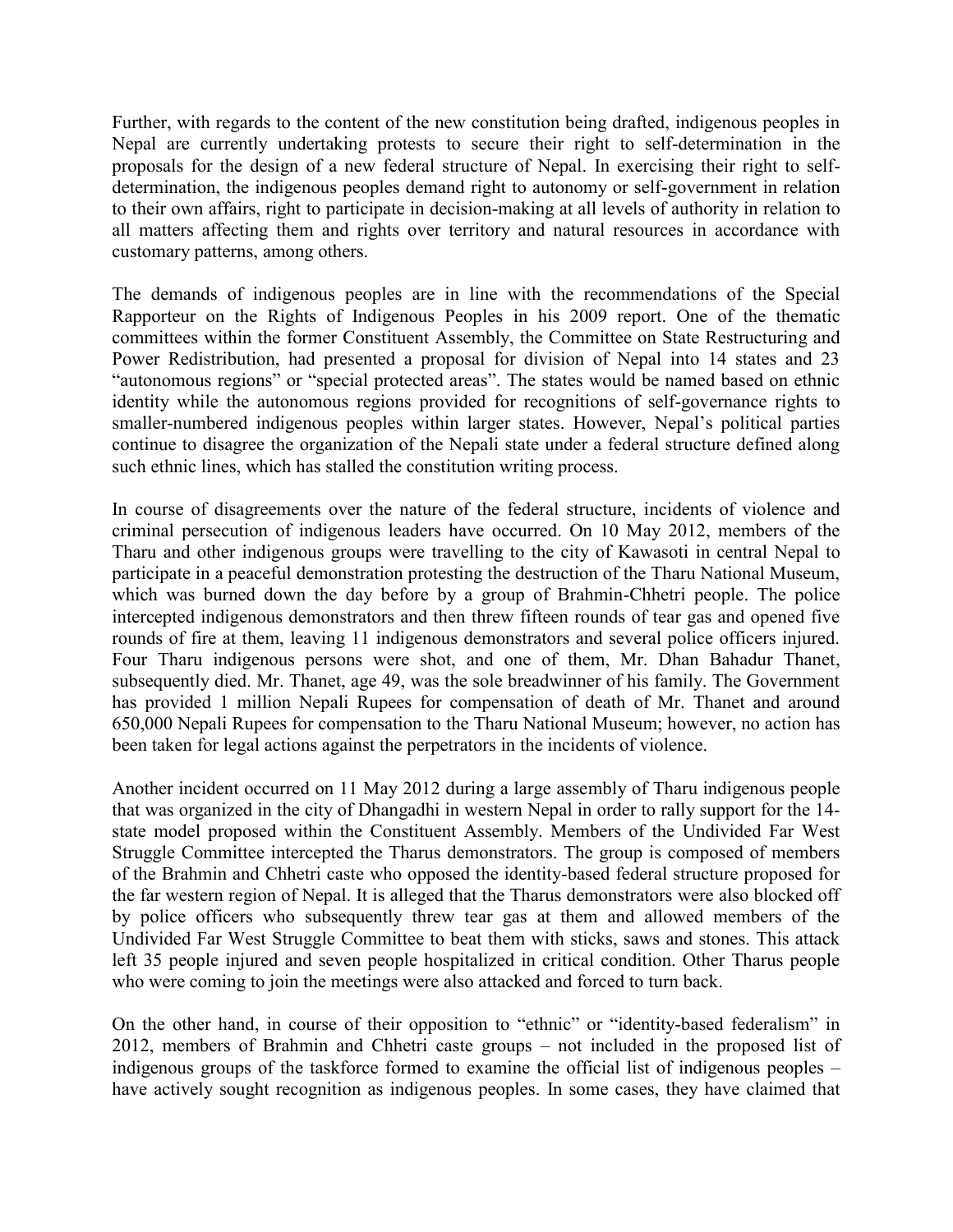Further, with regards to the content of the new constitution being drafted, indigenous peoples in Nepal are currently undertaking protests to secure their right to self-determination in the proposals for the design of a new federal structure of Nepal. In exercising their right to selfdetermination, the indigenous peoples demand right to autonomy or self-government in relation to their own affairs, right to participate in decision-making at all levels of authority in relation to all matters affecting them and rights over territory and natural resources in accordance with customary patterns, among others.

The demands of indigenous peoples are in line with the recommendations of the Special Rapporteur on the Rights of Indigenous Peoples in his 2009 report. One of the thematic committees within the former Constituent Assembly, the Committee on State Restructuring and Power Redistribution, had presented a proposal for division of Nepal into 14 states and 23 "autonomous regions" or "special protected areas". The states would be named based on ethnic identity while the autonomous regions provided for recognitions of self-governance rights to smaller-numbered indigenous peoples within larger states. However, Nepal's political parties continue to disagree the organization of the Nepali state under a federal structure defined along such ethnic lines, which has stalled the constitution writing process.

In course of disagreements over the nature of the federal structure, incidents of violence and criminal persecution of indigenous leaders have occurred. On 10 May 2012, members of the Tharu and other indigenous groups were travelling to the city of Kawasoti in central Nepal to participate in a peaceful demonstration protesting the destruction of the Tharu National Museum, which was burned down the day before by a group of Brahmin-Chhetri people. The police intercepted indigenous demonstrators and then threw fifteen rounds of tear gas and opened five rounds of fire at them, leaving 11 indigenous demonstrators and several police officers injured. Four Tharu indigenous persons were shot, and one of them, Mr. Dhan Bahadur Thanet, subsequently died. Mr. Thanet, age 49, was the sole breadwinner of his family. The Government has provided 1 million Nepali Rupees for compensation of death of Mr. Thanet and around 650,000 Nepali Rupees for compensation to the Tharu National Museum; however, no action has been taken for legal actions against the perpetrators in the incidents of violence.

Another incident occurred on 11 May 2012 during a large assembly of Tharu indigenous people that was organized in the city of Dhangadhi in western Nepal in order to rally support for the 14 state model proposed within the Constituent Assembly. Members of the Undivided Far West Struggle Committee intercepted the Tharus demonstrators. The group is composed of members of the Brahmin and Chhetri caste who opposed the identity-based federal structure proposed for the far western region of Nepal. It is alleged that the Tharus demonstrators were also blocked off by police officers who subsequently threw tear gas at them and allowed members of the Undivided Far West Struggle Committee to beat them with sticks, saws and stones. This attack left 35 people injured and seven people hospitalized in critical condition. Other Tharus people who were coming to join the meetings were also attacked and forced to turn back.

On the other hand, in course of their opposition to "ethnic" or "identity-based federalism" in 2012, members of Brahmin and Chhetri caste groups – not included in the proposed list of indigenous groups of the taskforce formed to examine the official list of indigenous peoples – have actively sought recognition as indigenous peoples. In some cases, they have claimed that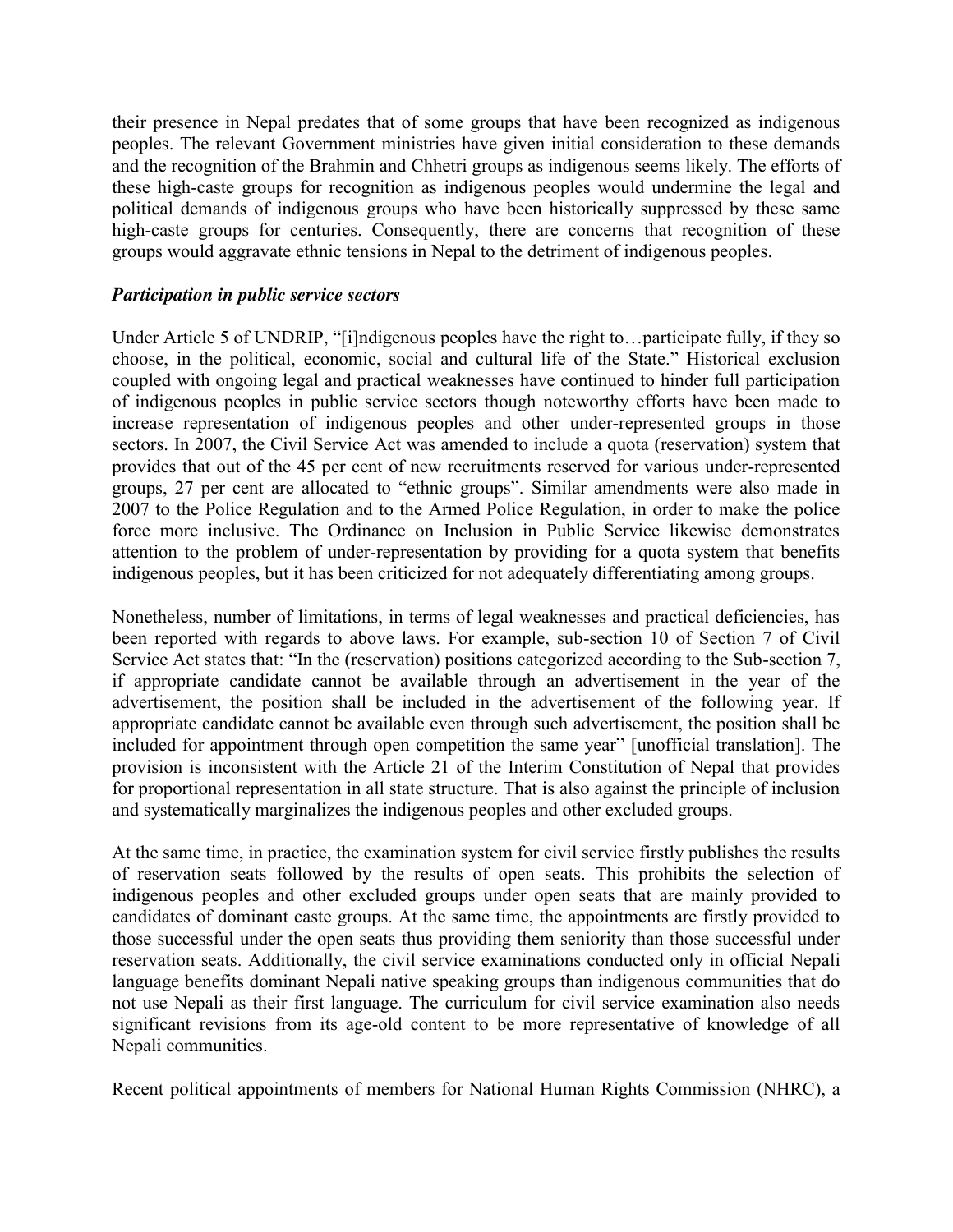their presence in Nepal predates that of some groups that have been recognized as indigenous peoples. The relevant Government ministries have given initial consideration to these demands and the recognition of the Brahmin and Chhetri groups as indigenous seems likely. The efforts of these high-caste groups for recognition as indigenous peoples would undermine the legal and political demands of indigenous groups who have been historically suppressed by these same high-caste groups for centuries. Consequently, there are concerns that recognition of these groups would aggravate ethnic tensions in Nepal to the detriment of indigenous peoples.

#### *Participation in public service sectors*

Under Article 5 of UNDRIP, "[i]ndigenous peoples have the right to…participate fully, if they so choose, in the political, economic, social and cultural life of the State." Historical exclusion coupled with ongoing legal and practical weaknesses have continued to hinder full participation of indigenous peoples in public service sectors though noteworthy efforts have been made to increase representation of indigenous peoples and other under-represented groups in those sectors. In 2007, the Civil Service Act was amended to include a quota (reservation) system that provides that out of the 45 per cent of new recruitments reserved for various under-represented groups, 27 per cent are allocated to "ethnic groups". Similar amendments were also made in 2007 to the Police Regulation and to the Armed Police Regulation, in order to make the police force more inclusive. The Ordinance on Inclusion in Public Service likewise demonstrates attention to the problem of under-representation by providing for a quota system that benefits indigenous peoples, but it has been criticized for not adequately differentiating among groups.

Nonetheless, number of limitations, in terms of legal weaknesses and practical deficiencies, has been reported with regards to above laws. For example, sub-section 10 of Section 7 of Civil Service Act states that: "In the (reservation) positions categorized according to the Sub-section 7, if appropriate candidate cannot be available through an advertisement in the year of the advertisement, the position shall be included in the advertisement of the following year. If appropriate candidate cannot be available even through such advertisement, the position shall be included for appointment through open competition the same year" [unofficial translation]. The provision is inconsistent with the Article 21 of the Interim Constitution of Nepal that provides for proportional representation in all state structure. That is also against the principle of inclusion and systematically marginalizes the indigenous peoples and other excluded groups.

At the same time, in practice, the examination system for civil service firstly publishes the results of reservation seats followed by the results of open seats. This prohibits the selection of indigenous peoples and other excluded groups under open seats that are mainly provided to candidates of dominant caste groups. At the same time, the appointments are firstly provided to those successful under the open seats thus providing them seniority than those successful under reservation seats. Additionally, the civil service examinations conducted only in official Nepali language benefits dominant Nepali native speaking groups than indigenous communities that do not use Nepali as their first language. The curriculum for civil service examination also needs significant revisions from its age-old content to be more representative of knowledge of all Nepali communities.

Recent political appointments of members for National Human Rights Commission (NHRC), a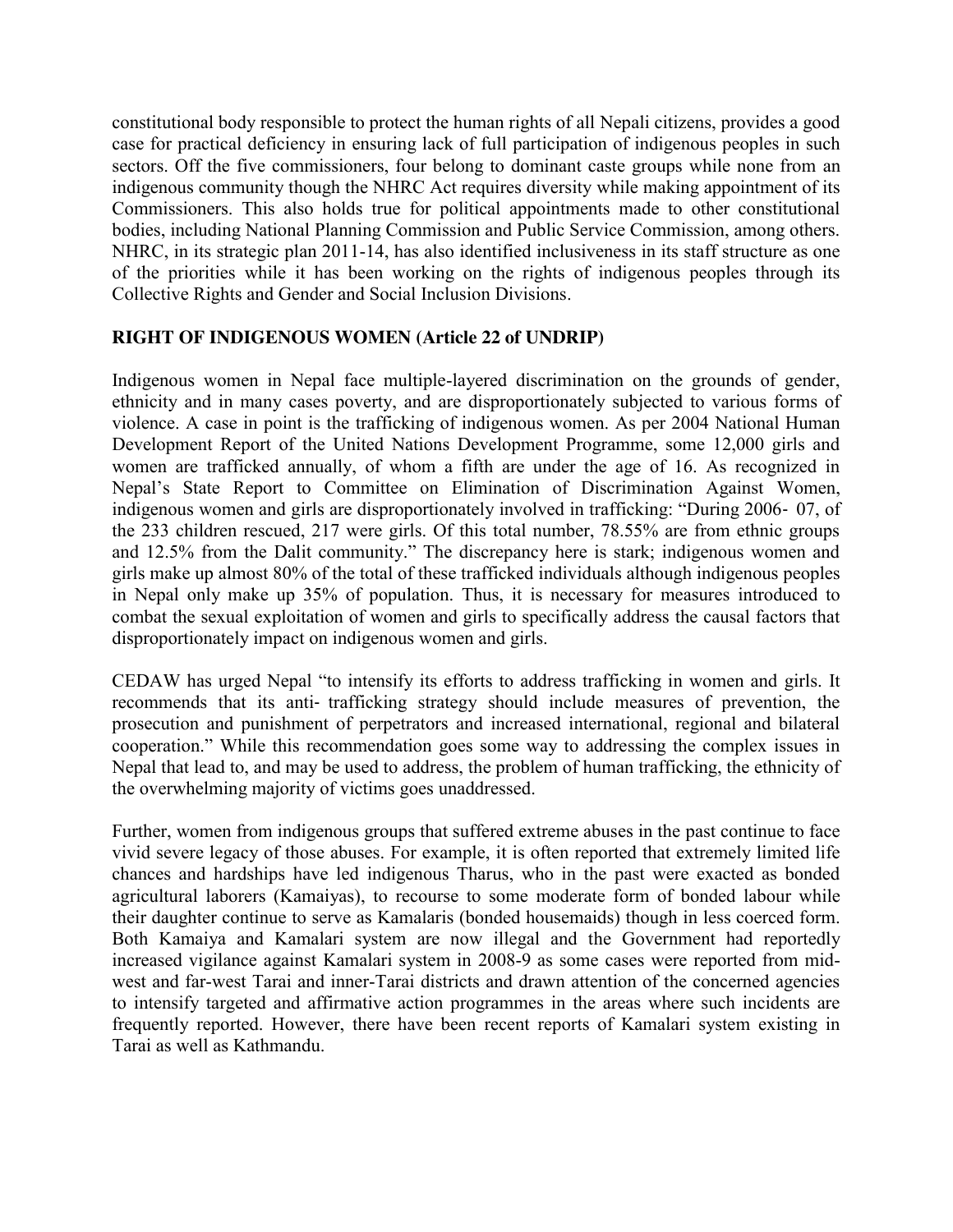constitutional body responsible to protect the human rights of all Nepali citizens, provides a good case for practical deficiency in ensuring lack of full participation of indigenous peoples in such sectors. Off the five commissioners, four belong to dominant caste groups while none from an indigenous community though the NHRC Act requires diversity while making appointment of its Commissioners. This also holds true for political appointments made to other constitutional bodies, including National Planning Commission and Public Service Commission, among others. NHRC, in its strategic plan 2011-14, has also identified inclusiveness in its staff structure as one of the priorities while it has been working on the rights of indigenous peoples through its Collective Rights and Gender and Social Inclusion Divisions.

## **RIGHT OF INDIGENOUS WOMEN (Article 22 of UNDRIP)**

Indigenous women in Nepal face multiple-layered discrimination on the grounds of gender, ethnicity and in many cases poverty, and are disproportionately subjected to various forms of violence. A case in point is the trafficking of indigenous women. As per 2004 National Human Development Report of the United Nations Development Programme, some 12,000 girls and women are trafficked annually, of whom a fifth are under the age of 16. As recognized in Nepal's State Report to Committee on Elimination of Discrimination Against Women, indigenous women and girls are disproportionately involved in trafficking: "During 2006‐ 07, of the 233 children rescued, 217 were girls. Of this total number, 78.55% are from ethnic groups and 12.5% from the Dalit community." The discrepancy here is stark; indigenous women and girls make up almost 80% of the total of these trafficked individuals although indigenous peoples in Nepal only make up 35% of population. Thus, it is necessary for measures introduced to combat the sexual exploitation of women and girls to specifically address the causal factors that disproportionately impact on indigenous women and girls.

CEDAW has urged Nepal "to intensify its efforts to address trafficking in women and girls. It recommends that its anti‐ trafficking strategy should include measures of prevention, the prosecution and punishment of perpetrators and increased international, regional and bilateral cooperation." While this recommendation goes some way to addressing the complex issues in Nepal that lead to, and may be used to address, the problem of human trafficking, the ethnicity of the overwhelming majority of victims goes unaddressed.

Further, women from indigenous groups that suffered extreme abuses in the past continue to face vivid severe legacy of those abuses. For example, it is often reported that extremely limited life chances and hardships have led indigenous Tharus, who in the past were exacted as bonded agricultural laborers (Kamaiyas), to recourse to some moderate form of bonded labour while their daughter continue to serve as Kamalaris (bonded housemaids) though in less coerced form. Both Kamaiya and Kamalari system are now illegal and the Government had reportedly increased vigilance against Kamalari system in 2008-9 as some cases were reported from midwest and far-west Tarai and inner-Tarai districts and drawn attention of the concerned agencies to intensify targeted and affirmative action programmes in the areas where such incidents are frequently reported. However, there have been recent reports of Kamalari system existing in Tarai as well as Kathmandu.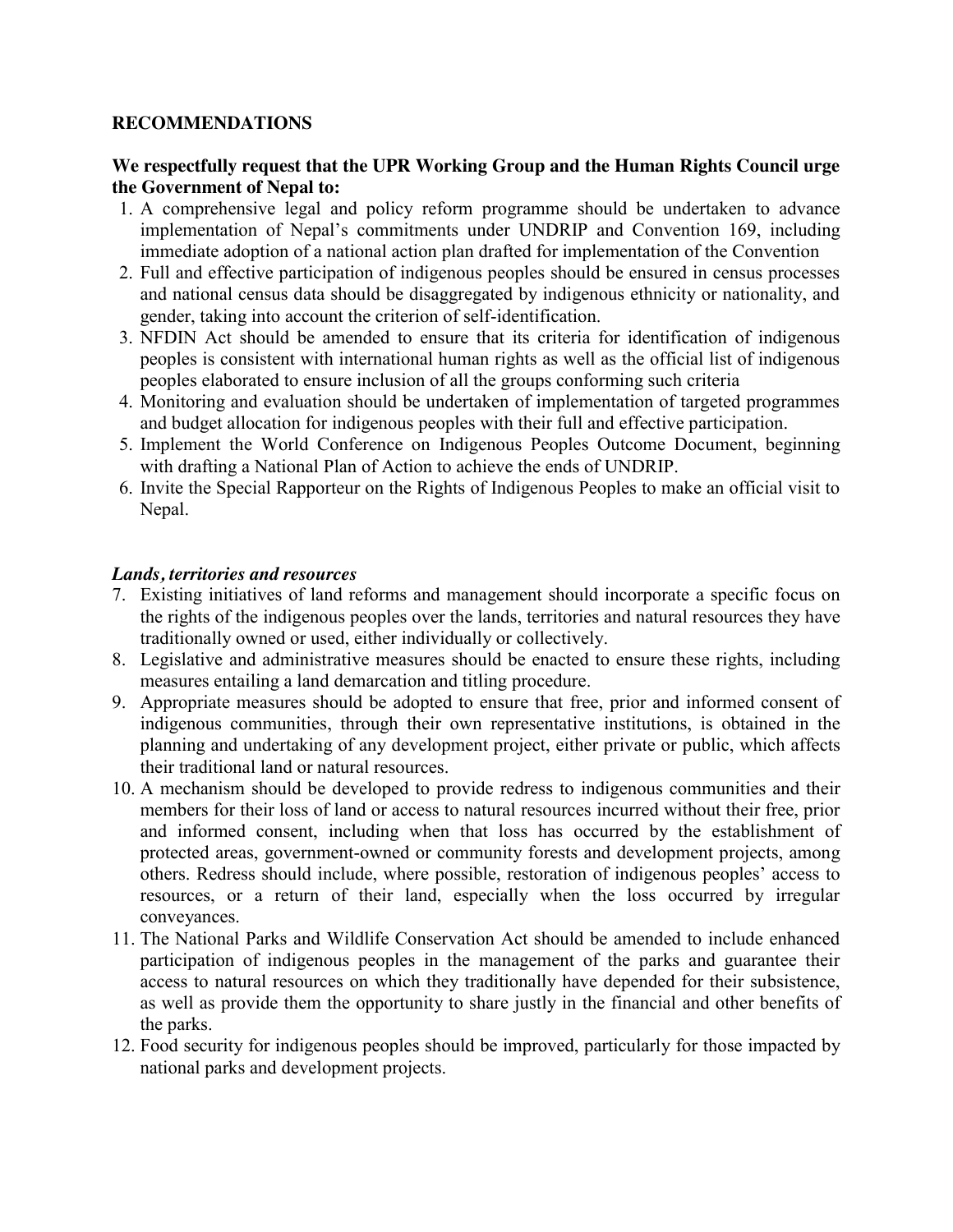### **RECOMMENDATIONS**

### **We respectfully request that the UPR Working Group and the Human Rights Council urge the Government of Nepal to:**

- 1. A comprehensive legal and policy reform programme should be undertaken to advance implementation of Nepal's commitments under UNDRIP and Convention 169, including immediate adoption of a national action plan drafted for implementation of the Convention
- 2. Full and effective participation of indigenous peoples should be ensured in census processes and national census data should be disaggregated by indigenous ethnicity or nationality, and gender, taking into account the criterion of self-identification.
- 3. NFDIN Act should be amended to ensure that its criteria for identification of indigenous peoples is consistent with international human rights as well as the official list of indigenous peoples elaborated to ensure inclusion of all the groups conforming such criteria
- 4. Monitoring and evaluation should be undertaken of implementation of targeted programmes and budget allocation for indigenous peoples with their full and effective participation.
- 5. Implement the World Conference on Indigenous Peoples Outcome Document, beginning with drafting a National Plan of Action to achieve the ends of UNDRIP.
- 6. Invite the Special Rapporteur on the Rights of Indigenous Peoples to make an official visit to Nepal.

### *Lands, territories and resources*

- 7. Existing initiatives of land reforms and management should incorporate a specific focus on the rights of the indigenous peoples over the lands, territories and natural resources they have traditionally owned or used, either individually or collectively.
- 8. Legislative and administrative measures should be enacted to ensure these rights, including measures entailing a land demarcation and titling procedure.
- 9. Appropriate measures should be adopted to ensure that free, prior and informed consent of indigenous communities, through their own representative institutions, is obtained in the planning and undertaking of any development project, either private or public, which affects their traditional land or natural resources.
- 10. A mechanism should be developed to provide redress to indigenous communities and their members for their loss of land or access to natural resources incurred without their free, prior and informed consent, including when that loss has occurred by the establishment of protected areas, government-owned or community forests and development projects, among others. Redress should include, where possible, restoration of indigenous peoples' access to resources, or a return of their land, especially when the loss occurred by irregular conveyances.
- 11. The National Parks and Wildlife Conservation Act should be amended to include enhanced participation of indigenous peoples in the management of the parks and guarantee their access to natural resources on which they traditionally have depended for their subsistence, as well as provide them the opportunity to share justly in the financial and other benefits of the parks.
- 12. Food security for indigenous peoples should be improved, particularly for those impacted by national parks and development projects.